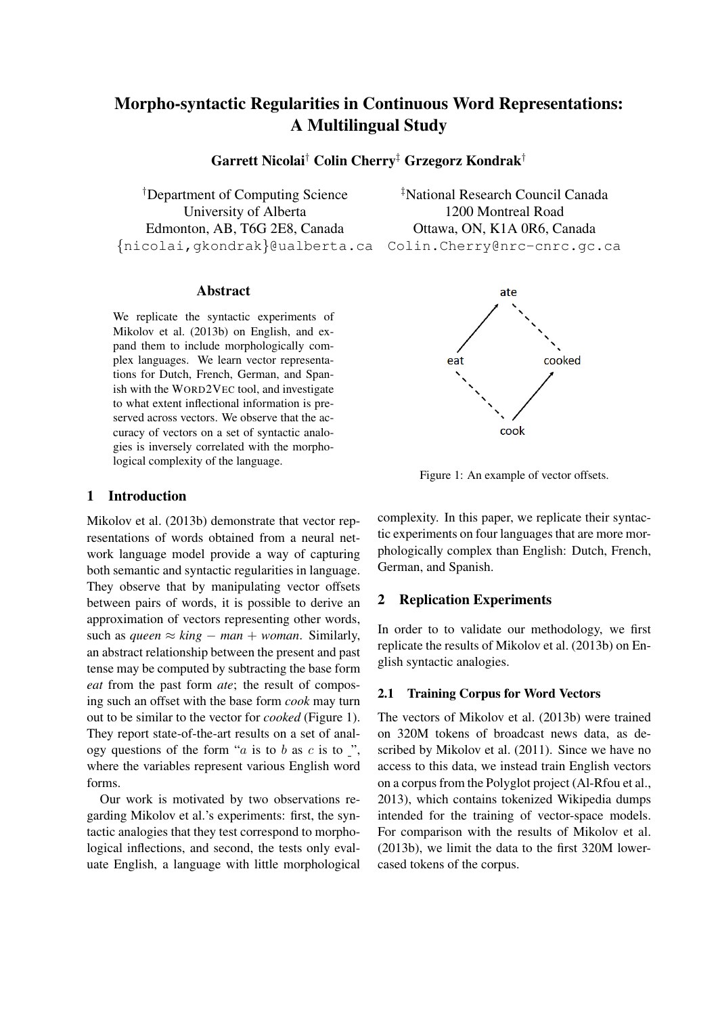# Morpho-syntactic Regularities in Continuous Word Representations: A Multilingual Study

Garrett Nicolai† Colin Cherry‡ Grzegorz Kondrak†

†Department of Computing Science ‡National Research Council Canada University of Alberta 1200 Montreal Road Edmonton, AB, T6G 2E8, Canada Ottawa, ON, K1A 0R6, Canada {nicolai,gkondrak}@ualberta.ca Colin.Cherry@nrc-cnrc.gc.ca

#### Abstract

We replicate the syntactic experiments of Mikolov et al. (2013b) on English, and expand them to include morphologically complex languages. We learn vector representations for Dutch, French, German, and Spanish with the WORD2VEC tool, and investigate to what extent inflectional information is preserved across vectors. We observe that the accuracy of vectors on a set of syntactic analogies is inversely correlated with the morphological complexity of the language.

# 1 Introduction

Mikolov et al. (2013b) demonstrate that vector representations of words obtained from a neural network language model provide a way of capturing both semantic and syntactic regularities in language. They observe that by manipulating vector offsets between pairs of words, it is possible to derive an approximation of vectors representing other words, such as *queen*  $\approx$  *king* − *man* + *woman*. Similarly, an abstract relationship between the present and past tense may be computed by subtracting the base form *eat* from the past form *ate*; the result of composing such an offset with the base form *cook* may turn out to be similar to the vector for *cooked* (Figure 1). They report state-of-the-art results on a set of analogy questions of the form " $a$  is to  $b$  as  $c$  is to ", where the variables represent various English word forms.

Our work is motivated by two observations regarding Mikolov et al.'s experiments: first, the syntactic analogies that they test correspond to morphological inflections, and second, the tests only evaluate English, a language with little morphological



Figure 1: An example of vector offsets.

complexity. In this paper, we replicate their syntactic experiments on four languages that are more morphologically complex than English: Dutch, French, German, and Spanish.

# 2 Replication Experiments

In order to to validate our methodology, we first replicate the results of Mikolov et al. (2013b) on English syntactic analogies.

#### 2.1 Training Corpus for Word Vectors

The vectors of Mikolov et al. (2013b) were trained on 320M tokens of broadcast news data, as described by Mikolov et al. (2011). Since we have no access to this data, we instead train English vectors on a corpus from the Polyglot project (Al-Rfou et al., 2013), which contains tokenized Wikipedia dumps intended for the training of vector-space models. For comparison with the results of Mikolov et al. (2013b), we limit the data to the first 320M lowercased tokens of the corpus.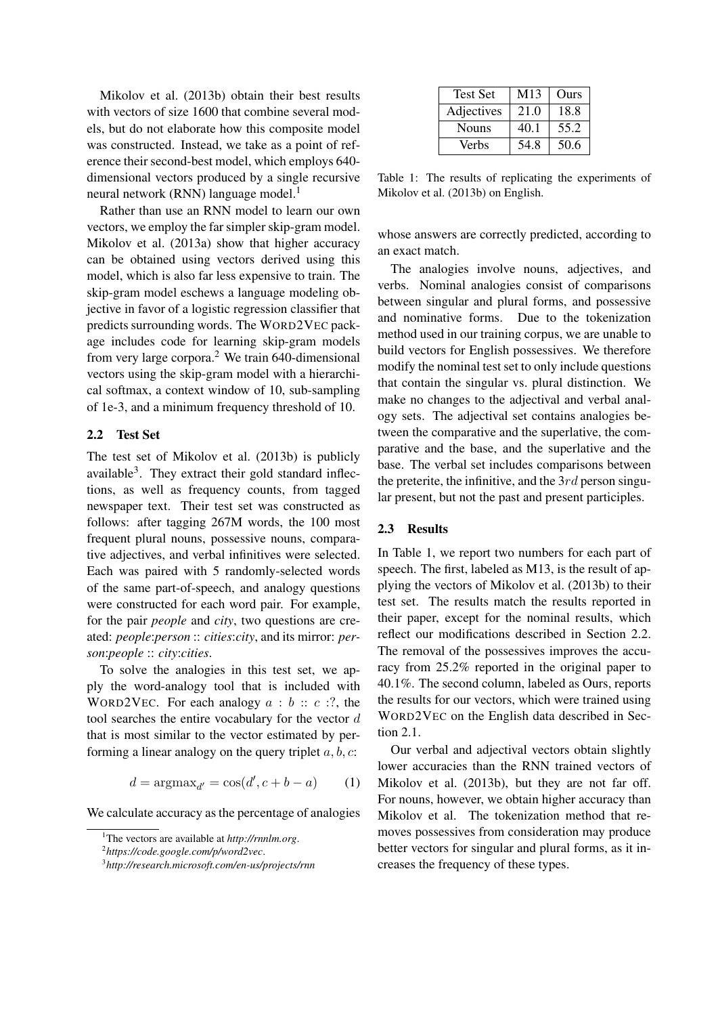Mikolov et al. (2013b) obtain their best results with vectors of size 1600 that combine several models, but do not elaborate how this composite model was constructed. Instead, we take as a point of reference their second-best model, which employs 640 dimensional vectors produced by a single recursive neural network (RNN) language model.<sup>1</sup>

Rather than use an RNN model to learn our own vectors, we employ the far simpler skip-gram model. Mikolov et al. (2013a) show that higher accuracy can be obtained using vectors derived using this model, which is also far less expensive to train. The skip-gram model eschews a language modeling objective in favor of a logistic regression classifier that predicts surrounding words. The WORD2VEC package includes code for learning skip-gram models from very large corpora.<sup>2</sup> We train 640-dimensional vectors using the skip-gram model with a hierarchical softmax, a context window of 10, sub-sampling of 1e-3, and a minimum frequency threshold of 10.

## 2.2 Test Set

The test set of Mikolov et al. (2013b) is publicly available<sup>3</sup>. They extract their gold standard inflections, as well as frequency counts, from tagged newspaper text. Their test set was constructed as follows: after tagging 267M words, the 100 most frequent plural nouns, possessive nouns, comparative adjectives, and verbal infinitives were selected. Each was paired with 5 randomly-selected words of the same part-of-speech, and analogy questions were constructed for each word pair. For example, for the pair *people* and *city*, two questions are created: *people*:*person* :: *cities*:*city*, and its mirror: *person*:*people* :: *city*:*cities*.

To solve the analogies in this test set, we apply the word-analogy tool that is included with WORD2VEC. For each analogy  $a : b :: c ::$ , the tool searches the entire vocabulary for the vector  $d$ that is most similar to the vector estimated by performing a linear analogy on the query triplet  $a, b, c$ :

$$
d = \operatorname{argmax}_{d'} = \cos(d', c + b - a) \qquad (1)
$$

We calculate accuracy as the percentage of analogies

| <b>Test Set</b> | M <sub>13</sub> | Ours |
|-----------------|-----------------|------|
| Adjectives      | 21.0            | 18.8 |
| <b>Nouns</b>    | 40.1            | 55.2 |
| Verbs           | 54.8            | 50.6 |

Table 1: The results of replicating the experiments of Mikolov et al. (2013b) on English.

whose answers are correctly predicted, according to an exact match.

The analogies involve nouns, adjectives, and verbs. Nominal analogies consist of comparisons between singular and plural forms, and possessive and nominative forms. Due to the tokenization method used in our training corpus, we are unable to build vectors for English possessives. We therefore modify the nominal test set to only include questions that contain the singular vs. plural distinction. We make no changes to the adjectival and verbal analogy sets. The adjectival set contains analogies between the comparative and the superlative, the comparative and the base, and the superlative and the base. The verbal set includes comparisons between the preterite, the infinitive, and the  $3rd$  person singular present, but not the past and present participles.

## 2.3 Results

In Table 1, we report two numbers for each part of speech. The first, labeled as M13, is the result of applying the vectors of Mikolov et al. (2013b) to their test set. The results match the results reported in their paper, except for the nominal results, which reflect our modifications described in Section 2.2. The removal of the possessives improves the accuracy from 25.2% reported in the original paper to 40.1%. The second column, labeled as Ours, reports the results for our vectors, which were trained using WORD2VEC on the English data described in Section 2.1.

Our verbal and adjectival vectors obtain slightly lower accuracies than the RNN trained vectors of Mikolov et al. (2013b), but they are not far off. For nouns, however, we obtain higher accuracy than Mikolov et al. The tokenization method that removes possessives from consideration may produce better vectors for singular and plural forms, as it increases the frequency of these types.

<sup>1</sup>The vectors are available at *http://rnnlm.org*.

<sup>2</sup> *https://code.google.com/p/word2vec*.

<sup>3</sup> *http://research.microsoft.com/en-us/projects/rnn*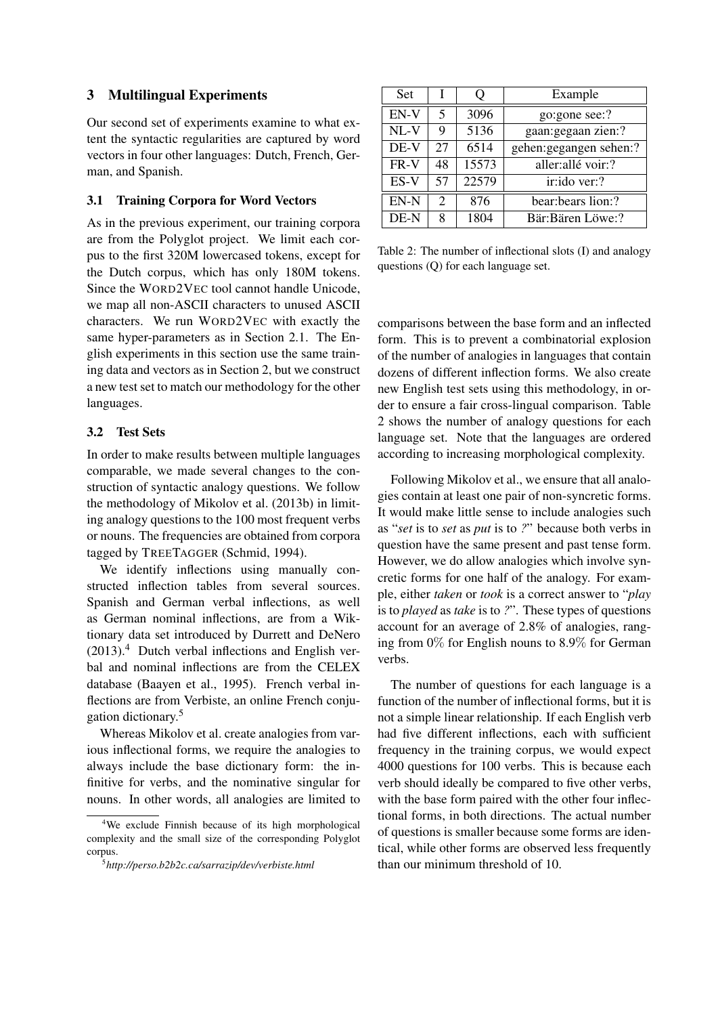# 3 Multilingual Experiments

Our second set of experiments examine to what extent the syntactic regularities are captured by word vectors in four other languages: Dutch, French, German, and Spanish.

### 3.1 Training Corpora for Word Vectors

As in the previous experiment, our training corpora are from the Polyglot project. We limit each corpus to the first 320M lowercased tokens, except for the Dutch corpus, which has only 180M tokens. Since the WORD2VEC tool cannot handle Unicode, we map all non-ASCII characters to unused ASCII characters. We run WORD2VEC with exactly the same hyper-parameters as in Section 2.1. The English experiments in this section use the same training data and vectors as in Section 2, but we construct a new test set to match our methodology for the other languages.

# 3.2 Test Sets

In order to make results between multiple languages comparable, we made several changes to the construction of syntactic analogy questions. We follow the methodology of Mikolov et al. (2013b) in limiting analogy questions to the 100 most frequent verbs or nouns. The frequencies are obtained from corpora tagged by TREETAGGER (Schmid, 1994).

We identify inflections using manually constructed inflection tables from several sources. Spanish and German verbal inflections, as well as German nominal inflections, are from a Wiktionary data set introduced by Durrett and DeNero  $(2013).4$  Dutch verbal inflections and English verbal and nominal inflections are from the CELEX database (Baayen et al., 1995). French verbal inflections are from Verbiste, an online French conjugation dictionary.<sup>5</sup>

Whereas Mikolov et al. create analogies from various inflectional forms, we require the analogies to always include the base dictionary form: the infinitive for verbs, and the nominative singular for nouns. In other words, all analogies are limited to

| <b>Set</b> |                             | υ     | Example                 |  |
|------------|-----------------------------|-------|-------------------------|--|
| $EN-V$     | $\overline{\mathbf{5}}$     | 3096  | go:gone see:?           |  |
| $NL-V$     | 9                           | 5136  | gaan: gegaan zien:?     |  |
| DE-V       | 27                          | 6514  | gehen: gegangen sehen:? |  |
| FR-V       | 48                          | 15573 | aller: allé voir:?      |  |
| ES-V       | 57                          | 22579 | ir:ido ver:?            |  |
| EN-N       | $\mathcal{D}_{\mathcal{L}}$ | 876   | bear: bears lion:?      |  |
| DE-N       | 8                           | 1804  | Bär:Bären Löwe:?        |  |

Table 2: The number of inflectional slots (I) and analogy questions (Q) for each language set.

comparisons between the base form and an inflected form. This is to prevent a combinatorial explosion of the number of analogies in languages that contain dozens of different inflection forms. We also create new English test sets using this methodology, in order to ensure a fair cross-lingual comparison. Table 2 shows the number of analogy questions for each language set. Note that the languages are ordered according to increasing morphological complexity.

Following Mikolov et al., we ensure that all analogies contain at least one pair of non-syncretic forms. It would make little sense to include analogies such as "*set* is to *set* as *put* is to *?*" because both verbs in question have the same present and past tense form. However, we do allow analogies which involve syncretic forms for one half of the analogy. For example, either *taken* or *took* is a correct answer to "*play* is to *played* as *take* is to *?*". These types of questions account for an average of 2.8% of analogies, ranging from 0% for English nouns to 8.9% for German verbs.

The number of questions for each language is a function of the number of inflectional forms, but it is not a simple linear relationship. If each English verb had five different inflections, each with sufficient frequency in the training corpus, we would expect 4000 questions for 100 verbs. This is because each verb should ideally be compared to five other verbs, with the base form paired with the other four inflectional forms, in both directions. The actual number of questions is smaller because some forms are identical, while other forms are observed less frequently than our minimum threshold of 10.

<sup>4</sup>We exclude Finnish because of its high morphological complexity and the small size of the corresponding Polyglot corpus.

<sup>5</sup> *http://perso.b2b2c.ca/sarrazip/dev/verbiste.html*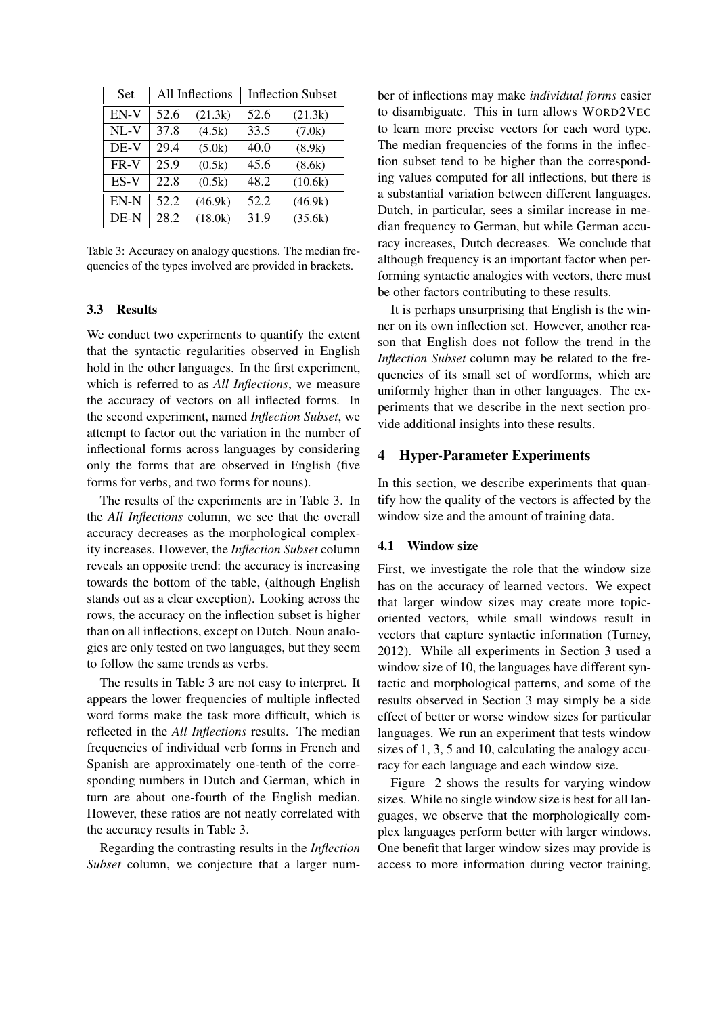| Set    | All Inflections |         | <b>Inflection Subset</b> |         |
|--------|-----------------|---------|--------------------------|---------|
| EN-V   | 52.6            | (21.3k) | 52.6                     | (21.3k) |
| $NL-V$ | 37.8            | (4.5k)  | 33.5                     | (7.0k)  |
| DE-V   | 29.4            | (5.0k)  | 40.0                     | (8.9k)  |
| FR-V   | 25.9            | (0.5k)  | 45.6                     | (8.6k)  |
| ES-V   | 22.8            | (0.5k)  | 48.2                     | (10.6k) |
| EN-N   | 52.2            | (46.9k) | 52.2                     | (46.9k) |
| DE-N   | 28.2            | (18.0k) | 31.9                     | (35.6k) |

Table 3: Accuracy on analogy questions. The median frequencies of the types involved are provided in brackets.

### 3.3 Results

We conduct two experiments to quantify the extent that the syntactic regularities observed in English hold in the other languages. In the first experiment, which is referred to as *All Inflections*, we measure the accuracy of vectors on all inflected forms. In the second experiment, named *Inflection Subset*, we attempt to factor out the variation in the number of inflectional forms across languages by considering only the forms that are observed in English (five forms for verbs, and two forms for nouns).

The results of the experiments are in Table 3. In the *All Inflections* column, we see that the overall accuracy decreases as the morphological complexity increases. However, the *Inflection Subset* column reveals an opposite trend: the accuracy is increasing towards the bottom of the table, (although English stands out as a clear exception). Looking across the rows, the accuracy on the inflection subset is higher than on all inflections, except on Dutch. Noun analogies are only tested on two languages, but they seem to follow the same trends as verbs.

The results in Table 3 are not easy to interpret. It appears the lower frequencies of multiple inflected word forms make the task more difficult, which is reflected in the *All Inflections* results. The median frequencies of individual verb forms in French and Spanish are approximately one-tenth of the corresponding numbers in Dutch and German, which in turn are about one-fourth of the English median. However, these ratios are not neatly correlated with the accuracy results in Table 3.

Regarding the contrasting results in the *Inflection Subset* column, we conjecture that a larger number of inflections may make *individual forms* easier to disambiguate. This in turn allows WORD2VEC to learn more precise vectors for each word type. The median frequencies of the forms in the inflection subset tend to be higher than the corresponding values computed for all inflections, but there is a substantial variation between different languages. Dutch, in particular, sees a similar increase in median frequency to German, but while German accuracy increases, Dutch decreases. We conclude that although frequency is an important factor when performing syntactic analogies with vectors, there must be other factors contributing to these results.

It is perhaps unsurprising that English is the winner on its own inflection set. However, another reason that English does not follow the trend in the *Inflection Subset* column may be related to the frequencies of its small set of wordforms, which are uniformly higher than in other languages. The experiments that we describe in the next section provide additional insights into these results.

## 4 Hyper-Parameter Experiments

In this section, we describe experiments that quantify how the quality of the vectors is affected by the window size and the amount of training data.

#### 4.1 Window size

First, we investigate the role that the window size has on the accuracy of learned vectors. We expect that larger window sizes may create more topicoriented vectors, while small windows result in vectors that capture syntactic information (Turney, 2012). While all experiments in Section 3 used a window size of 10, the languages have different syntactic and morphological patterns, and some of the results observed in Section 3 may simply be a side effect of better or worse window sizes for particular languages. We run an experiment that tests window sizes of 1, 3, 5 and 10, calculating the analogy accuracy for each language and each window size.

Figure 2 shows the results for varying window sizes. While no single window size is best for all languages, we observe that the morphologically complex languages perform better with larger windows. One benefit that larger window sizes may provide is access to more information during vector training,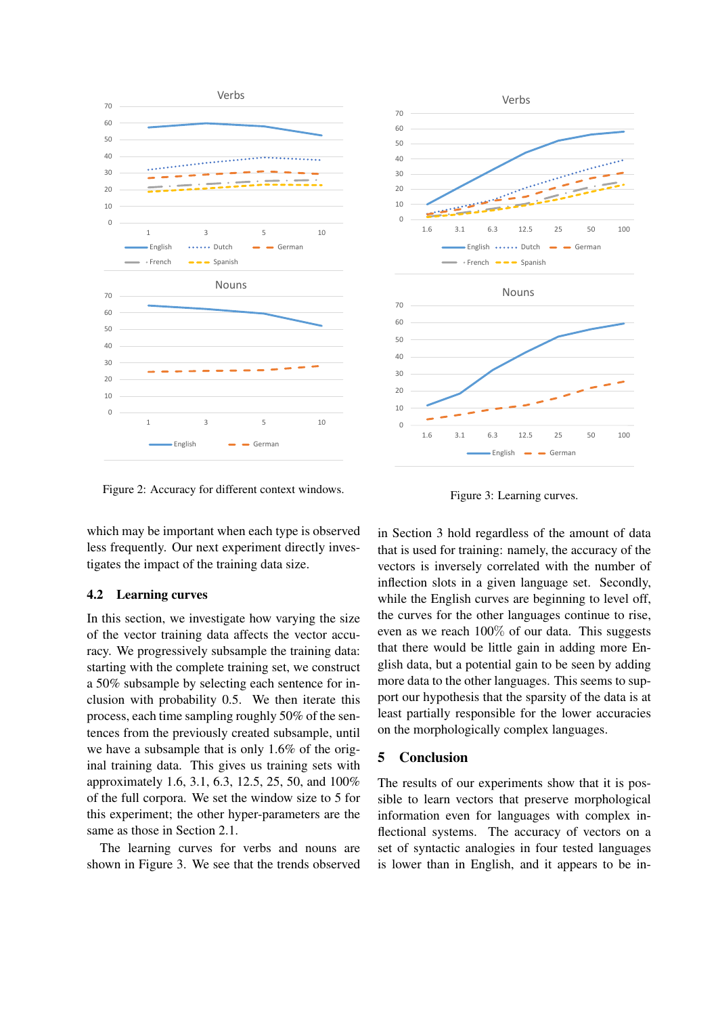

Figure 2: Accuracy for different context windows.

which may be important when each type is observed less frequently. Our next experiment directly investigates the impact of the training data size.

#### 4.2 Learning curves

In this section, we investigate how varying the size of the vector training data affects the vector accuracy. We progressively subsample the training data: starting with the complete training set, we construct a 50% subsample by selecting each sentence for inclusion with probability 0.5. We then iterate this process, each time sampling roughly 50% of the sentences from the previously created subsample, until we have a subsample that is only 1.6% of the original training data. This gives us training sets with approximately 1.6, 3.1, 6.3, 12.5, 25, 50, and 100% of the full corpora. We set the window size to 5 for this experiment; the other hyper-parameters are the same as those in Section 2.1.

The learning curves for verbs and nouns are shown in Figure 3. We see that the trends observed



Figure 3: Learning curves.

in Section 3 hold regardless of the amount of data that is used for training: namely, the accuracy of the vectors is inversely correlated with the number of inflection slots in a given language set. Secondly, while the English curves are beginning to level off, the curves for the other languages continue to rise, even as we reach 100% of our data. This suggests that there would be little gain in adding more English data, but a potential gain to be seen by adding more data to the other languages. This seems to support our hypothesis that the sparsity of the data is at least partially responsible for the lower accuracies on the morphologically complex languages.

# 5 Conclusion

The results of our experiments show that it is possible to learn vectors that preserve morphological information even for languages with complex inflectional systems. The accuracy of vectors on a set of syntactic analogies in four tested languages is lower than in English, and it appears to be in